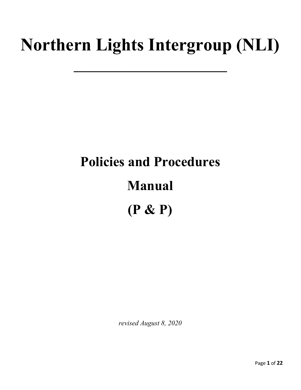# **Northern Lights Intergroup (NLI)**

 $\overline{\phantom{a}}$  , where  $\overline{\phantom{a}}$  , where  $\overline{\phantom{a}}$  , where  $\overline{\phantom{a}}$  , where  $\overline{\phantom{a}}$ 

# **Policies and Procedures Manual (P & P)**

*revised August 8, 2020*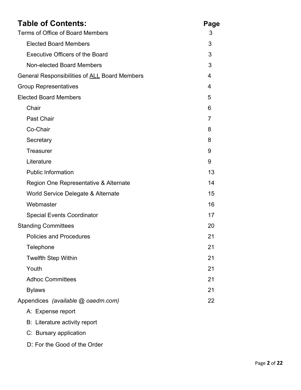| <b>Table of Contents:</b>                            | Page |
|------------------------------------------------------|------|
| Terms of Office of Board Members                     |      |
| <b>Elected Board Members</b>                         | 3    |
| <b>Executive Officers of the Board</b>               | 3    |
| Non-elected Board Members                            | 3    |
| General Responsibilities of <b>ALL</b> Board Members | 4    |
| <b>Group Representatives</b>                         |      |
| <b>Elected Board Members</b>                         | 5    |
| Chair                                                | 6    |
| Past Chair                                           | 7    |
| Co-Chair                                             | 8    |
| Secretary                                            | 8    |
| <b>Treasurer</b>                                     | 9    |
| Literature                                           | 9    |
| <b>Public Information</b>                            | 13   |
| Region One Representative & Alternate                | 14   |
| World Service Delegate & Alternate                   | 15   |
| Webmaster                                            | 16   |
| <b>Special Events Coordinator</b>                    | 17   |
| <b>Standing Committees</b>                           | 20   |
| <b>Policies and Procedures</b>                       | 21   |
| Telephone                                            | 21   |
| <b>Twelfth Step Within</b>                           | 21   |
| Youth                                                | 21   |
| <b>Adhoc Committees</b>                              | 21   |
| <b>Bylaws</b>                                        | 21   |
| Appendices (available @ oaedm.com)<br>22             |      |
| A: Expense report                                    |      |

- B: Literature activity report
- C: Bursary application
- D: For the Good of the Order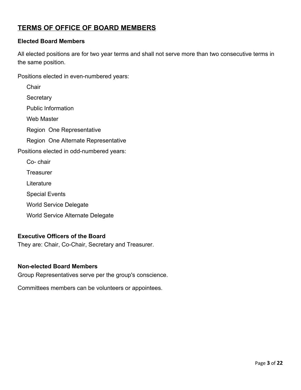# **TERMS OF OFFICE OF BOARD MEMBERS**

#### **Elected Board Members**

All elected positions are for two year terms and shall not serve more than two consecutive terms in the same position.

Positions elected in even-numbered years:

| Chair                                    |
|------------------------------------------|
| Secretary                                |
| <b>Public Information</b>                |
| Web Master                               |
| Region One Representative                |
| Region One Alternate Representative      |
| Positions elected in odd-numbered years: |
| Co- chair                                |
| Treasurer                                |
| Literature                               |
| <b>Special Events</b>                    |
| World Service Delegate                   |
| <b>World Service Alternate Delegate</b>  |

#### **Executive Officers of the Board**

They are: Chair, Co-Chair, Secretary and Treasurer.

#### **Non-elected Board Members**

Group Representatives serve per the group's conscience.

Committees members can be volunteers or appointees.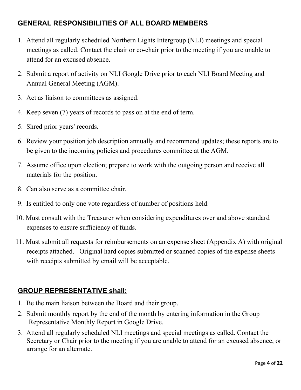# **GENERAL RESPONSIBILITIES OF ALL BOARD MEMBERS**

- 1. Attend all regularly scheduled Northern Lights Intergroup (NLI) meetings and special meetings as called. Contact the chair or co-chair prior to the meeting if you are unable to attend for an excused absence.
- 2. Submit a report of activity on NLI Google Drive prior to each NLI Board Meeting and Annual General Meeting (AGM).
- 3. Act as liaison to committees as assigned.
- 4. Keep seven (7) years of records to pass on at the end of term.
- 5. Shred prior years' records.
- 6. Review your position job description annually and recommend updates; these reports are to be given to the incoming policies and procedures committee at the AGM.
- 7. Assume office upon election; prepare to work with the outgoing person and receive all materials for the position.
- 8. Can also serve as a committee chair.
- 9. Is entitled to only one vote regardless of number of positions held.
- 10. Must consult with the Treasurer when considering expenditures over and above standard expenses to ensure sufficiency of funds.
- 11. Must submit all requests for reimbursements on an expense sheet (Appendix A) with original receipts attached. Original hard copies submitted or scanned copies of the expense sheets with receipts submitted by email will be acceptable.

# **GROUP REPRESENTATIVE shall:**

- 1. Be the main liaison between the Board and their group.
- 2. Submit monthly report by the end of the month by entering information in the Group Representative Monthly Report in Google Drive.
- 3. Attend all regularly scheduled NLI meetings and special meetings as called. Contact the Secretary or Chair prior to the meeting if you are unable to attend for an excused absence, or arrange for an alternate.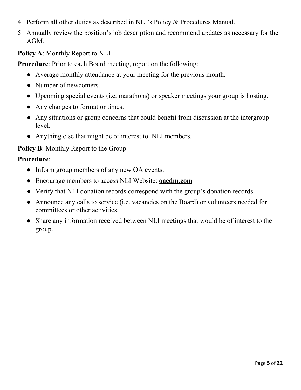- 4. Perform all other duties as described in NLI's Policy & Procedures Manual.
- 5. Annually review the position's job description and recommend updates as necessary for the AGM.

# **Policy A**: Monthly Report to NLI

**Procedure**: Prior to each Board meeting, report on the following:

- Average monthly attendance at your meeting for the previous month.
- Number of newcomers.
- Upcoming special events (i.e. marathons) or speaker meetings your group is hosting.
- Any changes to format or times.
- Any situations or group concerns that could benefit from discussion at the intergroup level.
- Anything else that might be of interest to NLI members.

# **Policy B**: Monthly Report to the Group

- Inform group members of any new OA events.
- Encourage members to access NLI Website: **oaedm.com**
- Verify that NLI donation records correspond with the group's donation records.
- Announce any calls to service (i.e. vacancies on the Board) or volunteers needed for committees or other activities.
- Share any information received between NLI meetings that would be of interest to the group.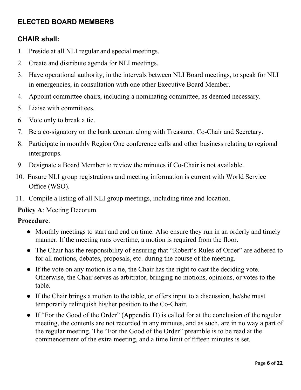# **ELECTED BOARD MEMBERS**

## **CHAIR shall:**

- 1. Preside at all NLI regular and special meetings.
- 2. Create and distribute agenda for NLI meetings.
- 3. Have operational authority, in the intervals between NLI Board meetings, to speak for NLI in emergencies, in consultation with one other Executive Board Member.
- 4. Appoint committee chairs, including a nominating committee, as deemed necessary.
- 5. Liaise with committees.
- 6. Vote only to break a tie.
- 7. Be a co-signatory on the bank account along with Treasurer, Co-Chair and Secretary.
- 8. Participate in monthly Region One conference calls and other business relating to regional intergroups.
- 9. Designate a Board Member to review the minutes if Co-Chair is not available.
- 10. Ensure NLI group registrations and meeting information is current with World Service Office (WSO).
- 11. Compile a listing of all NLI group meetings, including time and location.

## **Policy A**: Meeting Decorum

- Monthly meetings to start and end on time. Also ensure they run in an orderly and timely manner. If the meeting runs overtime, a motion is required from the floor.
- The Chair has the responsibility of ensuring that "Robert's Rules of Order" are adhered to for all motions, debates, proposals, etc. during the course of the meeting.
- If the vote on any motion is a tie, the Chair has the right to cast the deciding vote. Otherwise, the Chair serves as arbitrator, bringing no motions, opinions, or votes to the table.
- If the Chair brings a motion to the table, or offers input to a discussion, he/she must temporarily relinquish his/her position to the Co-Chair.
- If "For the Good of the Order" (Appendix D) is called for at the conclusion of the regular meeting, the contents are not recorded in any minutes, and as such, are in no way a part of the regular meeting. The "For the Good of the Order" preamble is to be read at the commencement of the extra meeting, and a time limit of fifteen minutes is set.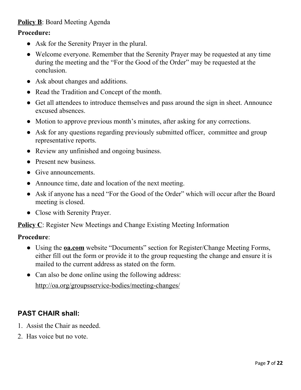# **Policy B**: Board Meeting Agenda

#### **Procedure:**

- Ask for the Serenity Prayer in the plural.
- Welcome everyone. Remember that the Serenity Prayer may be requested at any time during the meeting and the "For the Good of the Order" may be requested at the conclusion.
- Ask about changes and additions.
- Read the Tradition and Concept of the month.
- Get all attendees to introduce themselves and pass around the sign in sheet. Announce excused absences.
- Motion to approve previous month's minutes, after asking for any corrections.
- Ask for any questions regarding previously submitted officer, committee and group representative reports.
- Review any unfinished and ongoing business.
- Present new business.
- Give announcements.
- Announce time, date and location of the next meeting.
- Ask if anyone has a need "For the Good of the Order" which will occur after the Board meeting is closed.
- Close with Serenity Prayer.

**Policy C:** Register New Meetings and Change Existing Meeting Information

#### **Procedure**:

- Using the **oa.com** website "Documents" section for Register/Change Meeting Forms, either fill out the form or provide it to the group requesting the change and ensure it is mailed to the current address as stated on the form.
- Can also be done online using the following address:

http://oa.org/groupsservice-bodies/meeting-changes/

# **PAST CHAIR shall:**

- 1. Assist the Chair as needed.
- 2. Has voice but no vote.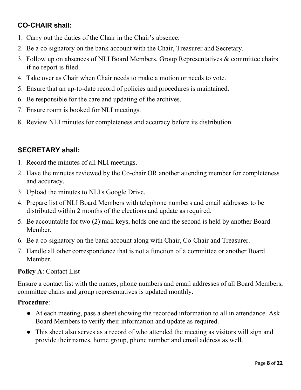# **CO-CHAIR shall:**

- 1. Carry out the duties of the Chair in the Chair's absence.
- 2. Be a co-signatory on the bank account with the Chair, Treasurer and Secretary.
- 3. Follow up on absences of NLI Board Members, Group Representatives & committee chairs if no report is filed.
- 4. Take over as Chair when Chair needs to make a motion or needs to vote.
- 5. Ensure that an up-to-date record of policies and procedures is maintained.
- 6. Be responsible for the care and updating of the archives.
- 7. Ensure room is booked for NLI meetings.
- 8. Review NLI minutes for completeness and accuracy before its distribution.

# **SECRETARY shall:**

- 1. Record the minutes of all NLI meetings.
- 2. Have the minutes reviewed by the Co-chair OR another attending member for completeness and accuracy.
- 3. Upload the minutes to NLI's Google Drive.
- 4. Prepare list of NLI Board Members with telephone numbers and email addresses to be distributed within 2 months of the elections and update as required.
- 5. Be accountable for two (2) mail keys, holds one and the second is held by another Board Member.
- 6. Be a co-signatory on the bank account along with Chair, Co-Chair and Treasurer.
- 7. Handle all other correspondence that is not a function of a committee or another Board Member.

## **Policy A**: Contact List

Ensure a contact list with the names, phone numbers and email addresses of all Board Members, committee chairs and group representatives is updated monthly.

- At each meeting, pass a sheet showing the recorded information to all in attendance. Ask Board Members to verify their information and update as required.
- This sheet also serves as a record of who attended the meeting as visitors will sign and provide their names, home group, phone number and email address as well.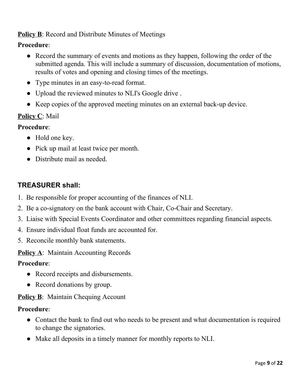# **Policy B**: Record and Distribute Minutes of Meetings

## **Procedure**:

- Record the summary of events and motions as they happen, following the order of the submitted agenda. This will include a summary of discussion, documentation of motions, results of votes and opening and closing times of the meetings.
- Type minutes in an easy-to-read format.
- Upload the reviewed minutes to NLI's Google drive .
- Keep copies of the approved meeting minutes on an external back-up device.

# **Policy C**: Mail

## **Procedure**:

- Hold one key.
- Pick up mail at least twice per month.
- Distribute mail as needed.

# **TREASURER shall:**

- 1. Be responsible for proper accounting of the finances of NLI.
- 2. Be a co-signatory on the bank account with Chair, Co-Chair and Secretary.
- 3. Liaise with Special Events Coordinator and other committees regarding financial aspects.
- 4. Ensure individual float funds are accounted for.
- 5. Reconcile monthly bank statements.

**Policy A**: Maintain Accounting Records

#### **Procedure**:

- Record receipts and disbursements.
- Record donations by group.

## **Policy B**: Maintain Chequing Account

- Contact the bank to find out who needs to be present and what documentation is required to change the signatories.
- Make all deposits in a timely manner for monthly reports to NLI.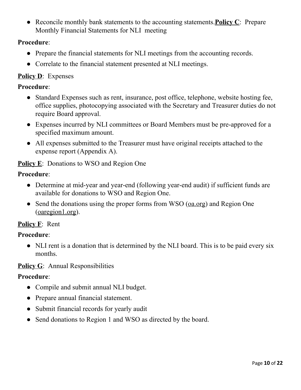● Reconcile monthly bank statements to the accounting statements.**Policy C**: Prepare Monthly Financial Statements for NLI meeting

## **Procedure**:

- Prepare the financial statements for NLI meetings from the accounting records.
- Correlate to the financial statement presented at NLI meetings.

## **Policy D**: Expenses

#### **Procedure**:

- Standard Expenses such as rent, insurance, post office, telephone, website hosting fee, office supplies, photocopying associated with the Secretary and Treasurer duties do not require Board approval.
- Expenses incurred by NLI committees or Board Members must be pre-approved for a specified maximum amount.
- All expenses submitted to the Treasurer must have original receipts attached to the expense report (Appendix A).

# **Policy E**: Donations to WSO and Region One

# **Procedure**:

- Determine at mid-year and year-end (following year-end audit) if sufficient funds are available for donations to WSO and Region One.
- Send the donations using the proper forms from WSO (oa.org) and Region One (oaregion1.org).

## **Policy F**: Rent

## **Procedure**:

• NLI rent is a donation that is determined by the NLI board. This is to be paid every six months.

## **Policy G**: Annual Responsibilities

- Compile and submit annual NLI budget.
- Prepare annual financial statement.
- Submit financial records for yearly audit
- Send donations to Region 1 and WSO as directed by the board.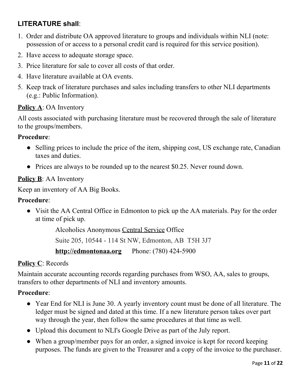# **LITERATURE shall**:

- 1. Order and distribute OA approved literature to groups and individuals within NLI (note: possession of or access to a personal credit card is required for this service position).
- 2. Have access to adequate storage space.
- 3. Price literature for sale to cover all costs of that order.
- 4. Have literature available at OA events.
- 5. Keep track of literature purchases and sales including transfers to other NLI departments (e.g.: Public Information).

#### **Policy A**: OA Inventory

All costs associated with purchasing literature must be recovered through the sale of literature to the groups/members.

#### **Procedure**:

- Selling prices to include the price of the item, shipping cost, US exchange rate, Canadian taxes and duties.
- Prices are always to be rounded up to the nearest \$0.25. Never round down.

#### **Policy B**: AA Inventory

Keep an inventory of AA Big Books.

#### **Procedure**:

• Visit the AA Central Office in Edmonton to pick up the AA materials. Pay for the order at time of pick up.

> Alcoholics Anonymous Central Service Office Suite 205, 10544 - 114 St NW, Edmonton, AB T5H 3J7 **http://edmontonaa.org** Phone: (780) 424-5900

## **Policy C**: Records

Maintain accurate accounting records regarding purchases from WSO, AA, sales to groups, transfers to other departments of NLI and inventory amounts.

- Year End for NLI is June 30. A yearly inventory count must be done of all literature. The ledger must be signed and dated at this time. If a new literature person takes over part way through the year, then follow the same procedures at that time as well.
- Upload this document to NLI's Google Drive as part of the July report.
- When a group/member pays for an order, a signed invoice is kept for record keeping purposes. The funds are given to the Treasurer and a copy of the invoice to the purchaser.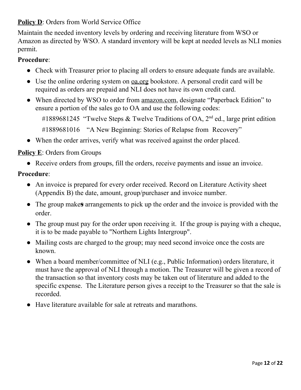# **Policy D**: Orders from World Service Office

Maintain the needed inventory levels by ordering and receiving literature from WSO or Amazon as directed by WSO. A standard inventory will be kept at needed levels as NLI monies permit.

## **Procedure**:

- Check with Treasurer prior to placing all orders to ensure adequate funds are available.
- Use the online ordering system on oa.org bookstore. A personal credit card will be required as orders are prepaid and NLI does not have its own credit card.
- When directed by WSO to order from amazon.com, designate "Paperback Edition" to ensure a portion of the sales go to OA and use the following codes:
	- #1889681245 "Twelve Steps & Twelve Traditions of OA,  $2<sup>nd</sup>$  ed., large print edition

#1889681016 "A New Beginning: Stories of Relapse from Recovery"

• When the order arrives, verify what was received against the order placed.

## **Policy E**: Orders from Groups

● Receive orders from groups, fill the orders, receive payments and issue an invoice.

- An invoice is prepared for every order received. Record on Literature Activity sheet (Appendix B) the date, amount, group/purchaser and invoice number.
- The group make**s** arrangements to pick up the order and the invoice is provided with the order.
- The group must pay for the order upon receiving it. If the group is paying with a cheque, it is to be made payable to "Northern Lights Intergroup".
- Mailing costs are charged to the group; may need second invoice once the costs are known.
- When a board member/committee of NLI (e.g., Public Information) orders literature, it must have the approval of NLI through a motion. The Treasurer will be given a record of the transaction so that inventory costs may be taken out of literature and added to the specific expense. The Literature person gives a receipt to the Treasurer so that the sale is recorded.
- Have literature available for sale at retreats and marathons.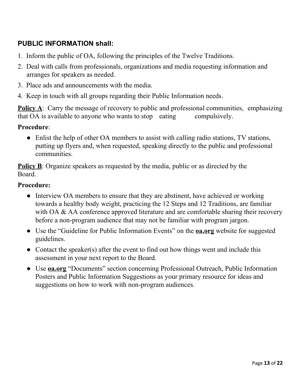# **PUBLIC INFORMATION shall:**

- 1. Inform the public of OA, following the principles of the Twelve Traditions.
- 2. Deal with calls from professionals, organizations and media requesting information and arranges for speakers as needed.
- 3. Place ads and announcements with the media.
- 4. Keep in touch with all groups regarding their Public Information needs.

**Policy A**: Carry the message of recovery to public and professional communities, emphasizing that OA is available to anyone who wants to stop eating compulsively.

#### **Procedure**:

• Enlist the help of other OA members to assist with calling radio stations, TV stations, putting up flyers and, when requested, speaking directly to the public and professional communities.

**Policy B**: Organize speakers as requested by the media, public or as directed by the Board.

- Interview OA members to ensure that they are abstinent, have achieved or working towards a healthy body weight, practicing the 12 Steps and 12 Traditions, are familiar with OA & AA conference approved literature and are comfortable sharing their recovery before a non-program audience that may not be familiar with program jargon.
- Use the "Guideline for Public Information Events" on the **oa.org** website for suggested guidelines.
- Contact the speaker(s) after the event to find out how things went and include this assessment in your next report to the Board.
- Use **oa.org** "Documents" section concerning Professional Outreach, Public Information Posters and Public Information Suggestions as your primary resource for ideas and suggestions on how to work with non-program audiences.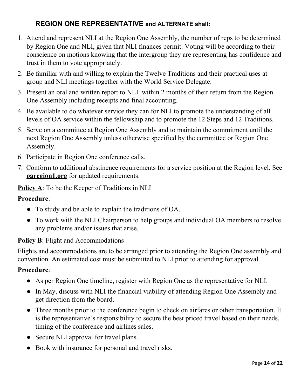# **REGION ONE REPRESENTATIVE and ALTERNATE shall:**

- 1. Attend and represent NLI at the Region One Assembly, the number of reps to be determined by Region One and NLI, given that NLI finances permit. Voting will be according to their conscience on motions knowing that the intergroup they are representing has confidence and trust in them to vote appropriately.
- 2. Be familiar with and willing to explain the Twelve Traditions and their practical uses at group and NLI meetings together with the World Service Delegate.
- 3. Present an oral and written report to NLI within 2 months of their return from the Region One Assembly including receipts and final accounting.
- 4. Be available to do whatever service they can for NLI to promote the understanding of all levels of OA service within the fellowship and to promote the 12 Steps and 12 Traditions.
- 5. Serve on a committee at Region One Assembly and to maintain the commitment until the next Region One Assembly unless otherwise specified by the committee or Region One Assembly.
- 6. Participate in Region One conference calls.
- 7. Conform to additional abstinence requirements for a service position at the Region level. See **<u>oaregion1.org</u>** for updated requirements.

**Policy A**: To be the Keeper of Traditions in NLI

#### **Procedure**:

- To study and be able to explain the traditions of OA.
- To work with the NLI Chairperson to help groups and individual OA members to resolve any problems and/or issues that arise.

#### **Policy B**: Flight and Accommodations

Flights and accommodations are to be arranged prior to attending the Region One assembly and convention. An estimated cost must be submitted to NLI prior to attending for approval.

- As per Region One timeline, register with Region One as the representative for NLI.
- In May, discuss with NLI the financial viability of attending Region One Assembly and get direction from the board.
- Three months prior to the conference begin to check on airfares or other transportation. It is the representative's responsibility to secure the best priced travel based on their needs, timing of the conference and airlines sales.
- Secure NLI approval for travel plans.
- Book with insurance for personal and travel risks.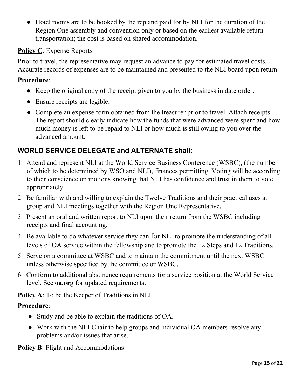● Hotel rooms are to be booked by the rep and paid for by NLI for the duration of the Region One assembly and convention only or based on the earliest available return transportation; the cost is based on shared accommodation.

# **Policy C**: Expense Reports

Prior to travel, the representative may request an advance to pay for estimated travel costs. Accurate records of expenses are to be maintained and presented to the NLI board upon return.

## **Procedure**:

- Keep the original copy of the receipt given to you by the business in date order.
- Ensure receipts are legible.
- Complete an expense form obtained from the treasurer prior to travel. Attach receipts. The report should clearly indicate how the funds that were advanced were spent and how much money is left to be repaid to NLI or how much is still owing to you over the advanced amount.

# **WORLD SERVICE DELEGATE and ALTERNATE shall:**

- 1. Attend and represent NLI at the World Service Business Conference (WSBC), (the number of which to be determined by WSO and NLI), finances permitting. Voting will be according to their conscience on motions knowing that NLI has confidence and trust in them to vote appropriately.
- 2. Be familiar with and willing to explain the Twelve Traditions and their practical uses at group and NLI meetings together with the Region One Representative.
- 3. Present an oral and written report to NLI upon their return from the WSBC including receipts and final accounting.
- 4. Be available to do whatever service they can for NLI to promote the understanding of all levels of OA service within the fellowship and to promote the 12 Steps and 12 Traditions.
- 5. Serve on a committee at WSBC and to maintain the commitment until the next WSBC unless otherwise specified by the committee or WSBC.
- 6. Conform to additional abstinence requirements for a service position at the World Service level. See **oa.org** for updated requirements.

**Policy A**: To be the Keeper of Traditions in NLI

## **Procedure**:

- Study and be able to explain the traditions of OA.
- Work with the NLI Chair to help groups and individual OA members resolve any problems and/or issues that arise.

**Policy B**: Flight and Accommodations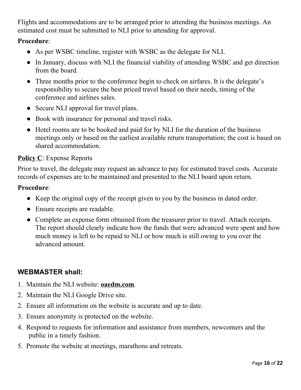Flights and accommodations are to be arranged prior to attending the business meetings. An estimated cost must be submitted to NLI prior to attending for approval.

#### **Procedure**:

- As per WSBC timeline, register with WSBC as the delegate for NLI.
- In January, discuss with NLI the financial viability of attending WSBC and get direction from the board.
- Three months prior to the conference begin to check on airfares. It is the delegate's responsibility to secure the best priced travel based on their needs, timing of the conference and airlines sales.
- Secure NLI approval for travel plans.
- Book with insurance for personal and travel risks.
- Hotel rooms are to be booked and paid for by NLI for the duration of the business meetings only or based on the earliest available return transportation; the cost is based on shared accommodation.

## **Policy C**: Expense Reports

Prior to travel, the delegate may request an advance to pay for estimated travel costs. Accurate records of expenses are to be maintained and presented to the NLI board upon return.

#### **Procedure**:

- Keep the original copy of the receipt given to you by the business in dated order.
- Ensure receipts are readable.
- Complete an expense form obtained from the treasurer prior to travel. Attach receipts. The report should clearly indicate how the funds that were advanced were spent and how much money is left to be repaid to NLI or how much is still owing to you over the advanced amount.

## **WEBMASTER shall:**

- 1. Maintain the NLI website: **oaedm.com**.
- 2. Maintain the NLI Google Drive site.
- 2. Ensure all information on the website is accurate and up to date.
- 3. Ensure anonymity is protected on the website.
- 4. Respond to requests for information and assistance from members, newcomers and the public in a timely fashion.
- 5. Promote the website at meetings, marathons and retreats.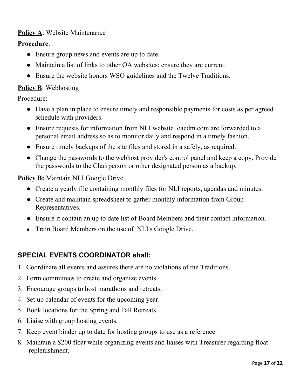## **Policy A**: Website Maintenance

#### **Procedure**:

- Ensure group news and events are up to date.
- Maintain a list of links to other OA websites; ensure they are current.
- Ensure the website honors WSO guidelines and the Twelve Traditions.

#### **Policy B**: Webhosting

Procedure:

- Have a plan in place to ensure timely and responsible payments for costs as per agreed schedule with providers.
- Ensure requests for information from NLI website oaedm.com are forwarded to a personal email address so as to monitor daily and respond in a timely fashion.
- Ensure timely backups of the site files and stored in a safely, as required.
- Change the passwords to the webhost provider's control panel and keep a copy. Provide the passwords to the Chairperson or other designated person as a backup.

#### **Policy B:** Maintain NLI Google Drive

- Create a yearly file containing monthly files for NLI reports, agendas and minutes.
- Create and maintain spreadsheet to gather monthly information from Group Representatives.
- Ensure it contain an up to date list of Board Members and their contact information.
- Train Board Members on the use of NLI's Google Drive.

## **SPECIAL EVENTS COORDINATOR shall:**

- 1. Coordinate all events and assures there are no violations of the Traditions.
- 2. Form committees to create and organize events.
- 3. Encourage groups to host marathons and retreats.
- 4. Set up calendar of events for the upcoming year.
- 5. Book locations for the Spring and Fall Retreats.
- 6. Liaise with group hosting events.
- 7. Keep event binder up to date for hosting groups to use as a reference.
- 8. Maintain a \$200 float while organizing events and liaises with Treasurer regarding float replenishment.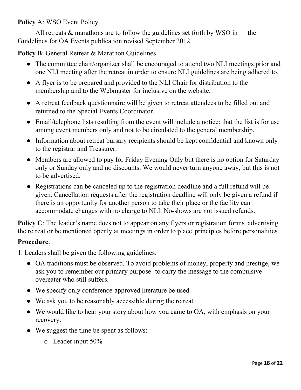## **Policy** A: WSO Event Policy

All retreats  $\&$  marathons are to follow the guidelines set forth by WSO in the Guidelines for OA Events publication revised September 2012.

**Policy B**: General Retreat & Marathon Guidelines

- The committee chair/organizer shall be encouraged to attend two NLI meetings prior and one NLI meeting after the retreat in order to ensure NLI guidelines are being adhered to.
- A flyer is to be prepared and provided to the NLI Chair for distribution to the membership and to the Webmaster for inclusive on the website.
- A retreat feedback questionnaire will be given to retreat attendees to be filled out and returned to the Special Events Coordinator.
- Email/telephone lists resulting from the event will include a notice: that the list is for use among event members only and not to be circulated to the general membership.
- Information about retreat bursary recipients should be kept confidential and known only to the registrar and Treasurer.
- Members are allowed to pay for Friday Evening Only but there is no option for Saturday only or Sunday only and no discounts. We would never turn anyone away, but this is not to be advertised.
- Registrations can be canceled up to the registration deadline and a full refund will be given. Cancellation requests after the registration deadline will only be given a refund if there is an opportunity for another person to take their place or the facility can accommodate changes with no charge to NLI. No-shows are not issued refunds.

**Policy** C: The leader's name does not to appear on any flyers or registration forms advertising the retreat or be mentioned openly at meetings in order to place principles before personalities.

- 1. Leaders shall be given the following guidelines:
	- OA traditions must be observed. To avoid problems of money, property and prestige, we ask you to remember our primary purpose- to carry the message to the compulsive overeater who still suffers.
	- We specify only conference-approved literature be used.
	- We ask you to be reasonably accessible during the retreat.
	- We would like to hear your story about how you came to OA, with emphasis on your recovery.
	- We suggest the time be spent as follows:
		- o Leader input 50%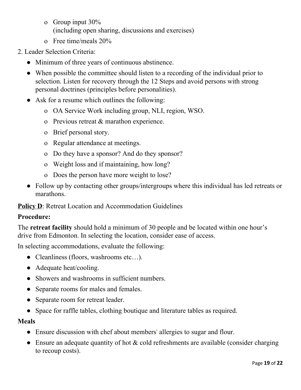- o Group input 30% (including open sharing, discussions and exercises)
- o Free time/meals 20%
- 2. Leader Selection Criteria:
	- Minimum of three years of continuous abstinence.
	- When possible the committee should listen to a recording of the individual prior to selection. Listen for recovery through the 12 Steps and avoid persons with strong personal doctrines (principles before personalities).
	- Ask for a resume which outlines the following:
		- o OA Service Work including group, NLI, region, WSO.
		- o Previous retreat & marathon experience.
		- o Brief personal story.
		- o Regular attendance at meetings.
		- o Do they have a sponsor? And do they sponsor?
		- o Weight loss and if maintaining, how long?
		- o Does the person have more weight to lose?
	- Follow up by contacting other groups/intergroups where this individual has led retreats or marathons.

**Policy D**: Retreat Location and Accommodation Guidelines

## **Procedure:**

The **retreat facility** should hold a minimum of 30 people and be located within one hour's drive from Edmonton. In selecting the location, consider ease of access.

In selecting accommodations, evaluate the following:

- Cleanliness (floors, washrooms etc...).
- Adequate heat/cooling.
- Showers and washrooms in sufficient numbers.
- Separate rooms for males and females.
- Separate room for retreat leader.
- Space for raffle tables, clothing boutique and literature tables as required.

#### **Meals**

- Ensure discussion with chef about members' allergies to sugar and flour.
- $\bullet$  Ensure an adequate quantity of hot & cold refreshments are available (consider charging to recoup costs).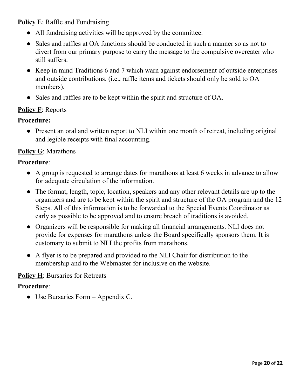**Policy E**: Raffle and Fundraising

- All fundraising activities will be approved by the committee.
- Sales and raffles at OA functions should be conducted in such a manner so as not to divert from our primary purpose to carry the message to the compulsive overeater who still suffers.
- Keep in mind Traditions 6 and 7 which warn against endorsement of outside enterprises and outside contributions. (i.e., raffle items and tickets should only be sold to OA members).
- Sales and raffles are to be kept within the spirit and structure of OA.

## **Policy F**: Reports

#### **Procedure:**

● Present an oral and written report to NLI within one month of retreat, including original and legible receipts with final accounting.

## **Policy G**: Marathons

#### **Procedure**:

- A group is requested to arrange dates for marathons at least 6 weeks in advance to allow for adequate circulation of the information.
- The format, length, topic, location, speakers and any other relevant details are up to the organizers and are to be kept within the spirit and structure of the OA program and the 12 Steps. All of this information is to be forwarded to the Special Events Coordinator as early as possible to be approved and to ensure breach of traditions is avoided.
- Organizers will be responsible for making all financial arrangements. NLI does not provide for expenses for marathons unless the Board specifically sponsors them. It is customary to submit to NLI the profits from marathons.
- A flyer is to be prepared and provided to the NLI Chair for distribution to the membership and to the Webmaster for inclusive on the website.

#### **Policy H**: Bursaries for Retreats

#### **Procedure**:

● Use Bursaries Form – Appendix C.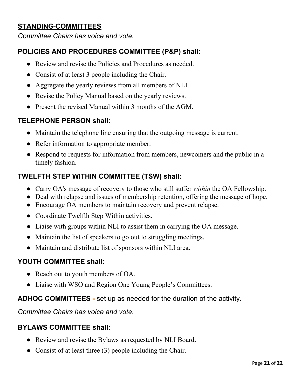# **STANDING COMMITTEES**

*Committee Chairs has voice and vote.*

# **POLICIES AND PROCEDURES COMMITTEE (P&P) shall:**

- Review and revise the Policies and Procedures as needed.
- Consist of at least 3 people including the Chair.
- Aggregate the yearly reviews from all members of NLI.
- Revise the Policy Manual based on the yearly reviews.
- Present the revised Manual within 3 months of the AGM.

# **TELEPHONE PERSON shall:**

- Maintain the telephone line ensuring that the outgoing message is current.
- Refer information to appropriate member.
- Respond to requests for information from members, newcomers and the public in a timely fashion.

# **TWELFTH STEP WITHIN COMMITTEE (TSW) shall:**

- Carry OA's message of recovery to those who still suffer *within* the OA Fellowship.
- Deal with relapse and issues of membership retention, offering the message of hope.
- Encourage OA members to maintain recovery and prevent relapse.
- Coordinate Twelfth Step Within activities.
- Liaise with groups within NLI to assist them in carrying the OA message.
- Maintain the list of speakers to go out to struggling meetings.
- Maintain and distribute list of sponsors within NLI area.

## **YOUTH COMMITTEE shall:**

- Reach out to youth members of OA.
- Liaise with WSO and Region One Young People's Committees.

# **ADHOC COMMITTEES -** set up as needed for the duration of the activity.

*Committee Chairs has voice and vote.*

## **BYLAWS COMMITTEE shall:**

- Review and revise the Bylaws as requested by NLI Board.
- Consist of at least three (3) people including the Chair.